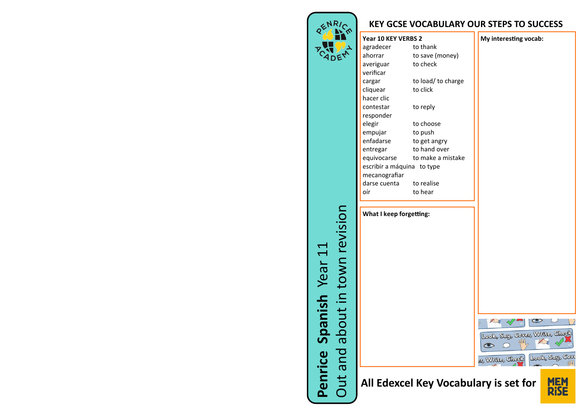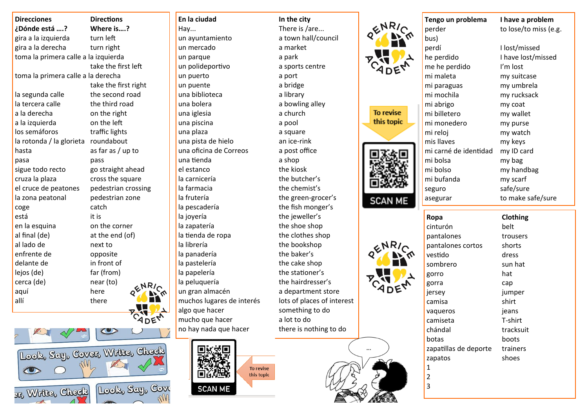| <b>Direcciones</b>                   | <b>Directions</b> |
|--------------------------------------|-------------------|
| ¿Dónde está ?                        | Where is          |
| gira a la izquierda                  | turn left         |
| gira a la derecha                    | turn right        |
| toma la primera calle a la izquierda |                   |
|                                      | take the fir      |
| toma la primera calle a la derecha   |                   |
|                                      | take the fir      |
| la segunda calle                     | the second        |
| la tercera calle                     | the third ro      |
| a la derecha                         | on the righ       |
| a la izquierda                       | on the left       |
| los semáforos                        | traffic light     |
| la rotonda / la glorieta             | roundabou         |
| hasta                                | as far as / เ     |
| pasa                                 | pass              |
| sigue todo recto                     | go straight       |
| cruza la plaza                       | cross the s       |
| el cruce de peatones                 | pedestrian        |
| la zona peatonal                     | pedestrian        |
| coge                                 | catch             |
| está                                 | it is             |
| en la esquina                        | on the corr       |
| al final (de)                        | at the end        |
| al lado de                           | next to           |
| enfrente de                          | opposite          |
| delante de                           | in front of       |
| lejos (de)                           | far (from)        |
| cerca (de)                           | near (to)         |
| aquí                                 | here              |
| allí                                 | there             |
|                                      |                   |





un ayuntamiento a town hall/council un mercado a market un parque a park un polideportivo a sports centre un puerto a port un puente a bridge una biblioteca a library una bolera a bowling alley una iglesia a church una piscina a pool una plaza a square una pista de hielo an ice-rink una oficina de Correos a post office una tienda a shop el estanco the kiosk la carnicería the butcher's la farmacia the chemist's la frutería the green-grocer's la pescadería the fish monger's la joyería de contractor the jeweller's la zapatería the shoe shop la tienda de ropa the clothes shop la librería the bookshop la panadería the baker's la pastelería the cake shop la papelería electronical the stationer's la peluquería de the hairdresser's un gran almacén a department store muchos lugares de interés lots of places of interest algo que hacer something to do mucho que hacer a lot to do



To revise this topic

**En la ciudad In the city** Hay... There is /are... no hay nada que hacer there is nothing to do





 $\cdots$ 

| perder                | to lose/to miss (e.g. |
|-----------------------|-----------------------|
| bus)                  |                       |
| perdí                 | I lost/missed         |
| he perdido            | I have lost/missed    |
| me he perdido         | I'm lost              |
| mi maleta             | my suitcase           |
| mi paraguas           | my umbrela            |
| mi mochila            | my rucksack           |
| mi abrigo             | my coat               |
| mi billetero          | my wallet             |
| mi monedero           | my purse              |
| mi reloj              | my watch              |
| mis llaves            | my keys               |
| mi carné de identidad | my ID card            |
| mi bolsa              | my bag                |
| mi bolso              | my handbag            |
| mi bufanda            | my scarf              |
| seguro                | safe/sure             |
| asegurar              | to make safe/sure     |



| cinturón              | belt      |
|-----------------------|-----------|
| pantalones            | trousers  |
| pantalones cortos     | shorts    |
| vestido               | dress     |
| sombrero              | sun hat   |
| gorro                 | hat       |
| gorra                 | cap       |
| jersey                | jumper    |
| camisa                | shirt     |
| vagueros              | jeans     |
| camiseta              | T-shirt   |
| chándal               | tracksuit |
| botas                 | boots     |
| zapatillas de deporte | trainers  |
| zapatos               | shoes     |
| 1                     |           |
| 2                     |           |
| 3                     |           |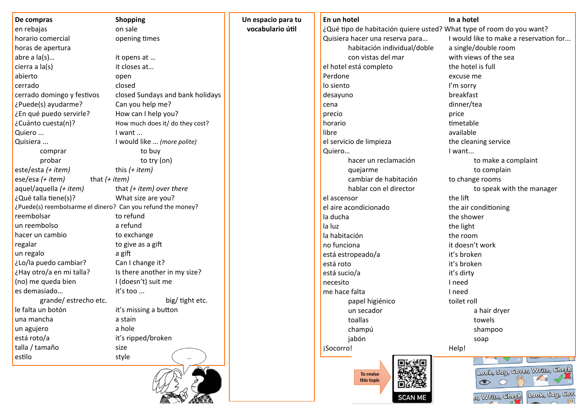| De compras                                                  | <b>Shopping</b>                  | Un espacio para tu | En un hotel                                                          | In a hotel                                                                                     |
|-------------------------------------------------------------|----------------------------------|--------------------|----------------------------------------------------------------------|------------------------------------------------------------------------------------------------|
| en rebajas                                                  | on sale                          | vocabulario útil   | ¿Qué tipo de habitación quiere usted? What type of room do you want? |                                                                                                |
| horario comercial                                           | opening times                    |                    | Quisiera hacer una reserva para                                      | I would like to make a reservation for                                                         |
| horas de apertura                                           |                                  |                    | habitación individual/doble                                          | a single/double room                                                                           |
| abre a $la(s)$                                              | it opens at                      |                    | con vistas del mar                                                   | with views of the sea                                                                          |
| cierra a la(s)                                              | it closes at                     |                    | el hotel está completo                                               | the hotel is full                                                                              |
| abierto                                                     | open                             |                    | Perdone                                                              | excuse me                                                                                      |
| cerrado                                                     | closed                           |                    | lo siento                                                            | I'm sorry                                                                                      |
| cerrado domingo y festivos                                  | closed Sundays and bank holidays |                    | desayuno                                                             | breakfast                                                                                      |
| ¿Puede(s) ayudarme?                                         | Can you help me?                 |                    | cena                                                                 | dinner/tea                                                                                     |
| ¿En qué puedo servirle?                                     | How can I help you?              |                    | precio                                                               | price                                                                                          |
| ¿Cuánto cuesta(n)?                                          | How much does it/ do they cost?  |                    | horario                                                              | timetable                                                                                      |
| Quiero                                                      | I want                           |                    | libre                                                                | available                                                                                      |
| Quisiera                                                    | I would like  (more polite)      |                    | el servicio de limpieza                                              | the cleaning service                                                                           |
| comprar                                                     | to buy                           |                    | Quiero                                                               | I want                                                                                         |
| probar                                                      | to try (on)                      |                    | hacer un reclamación                                                 | to make a complaint                                                                            |
| este/esta (+ item)                                          | this $(+$ <i>item</i> )          |                    | quejarme                                                             | to complain                                                                                    |
| ese/esa (+ item)<br>that $(+$ <i>item</i> )                 |                                  |                    | cambiar de habitación                                                | to change rooms                                                                                |
| aquel/aquella (+ item)                                      | that $(+)$ item) over there      |                    | hablar con el director                                               | to speak with the manager                                                                      |
| ¿Qué talla tiene(s)?                                        | What size are you?               |                    | el ascensor                                                          | the lift                                                                                       |
| ¿Puede(s) reembolsarme el dinero? Can you refund the money? |                                  |                    | el aire acondicionado                                                | the air conditioning                                                                           |
| reembolsar                                                  | to refund                        |                    | la ducha                                                             | the shower                                                                                     |
| un reembolso                                                | a refund                         |                    | la luz                                                               | the light                                                                                      |
| hacer un cambio                                             | to exchange                      |                    | la habitación                                                        | the room                                                                                       |
| regalar                                                     | to give as a gift                |                    | no funciona                                                          | it doesn't work                                                                                |
| un regalo                                                   | a gift                           |                    | está estropeado/a                                                    | it's broken                                                                                    |
| ¿Lo/la puedo cambiar?                                       | Can I change it?                 |                    | está roto                                                            | it's broken                                                                                    |
| ¿Hay otro/a en mi talla?                                    | Is there another in my size?     |                    | está sucio/a                                                         | it's dirty                                                                                     |
| (no) me queda bien                                          | I (doesn't) suit me              |                    | necesito                                                             | I need                                                                                         |
| es demasiado                                                | it's too                         |                    | me hace falta                                                        | I need                                                                                         |
| grande/estrecho etc.                                        | big/ tight etc.                  |                    | papel higiénico                                                      | toilet roll                                                                                    |
| le falta un botón                                           | it's missing a button            |                    | un secador                                                           | a hair dryer                                                                                   |
| una mancha                                                  | a stain                          |                    | toallas                                                              | towels                                                                                         |
| un agujero                                                  | a hole                           |                    | champú                                                               | shampoo                                                                                        |
| está roto/a                                                 | it's ripped/broken               |                    | jabón                                                                | soap                                                                                           |
| talla / tamaño                                              | size                             |                    | ¡Socorro!                                                            | Help!                                                                                          |
| estilo                                                      | style                            |                    |                                                                      |                                                                                                |
|                                                             |                                  |                    | WH.<br>To revise<br>this topic<br><b>SCAN ME</b>                     | Look, Say, Cover, Write, Check<br>$\bigcap$<br>$\bullet$<br>Look, Say, Cov<br>3r, Wrtte, Check |